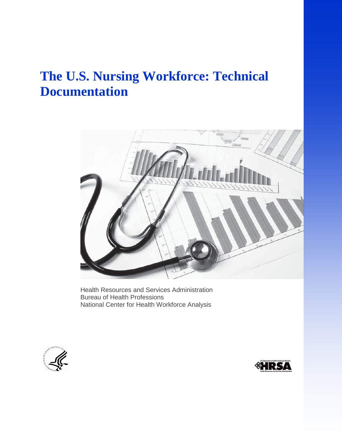# **The U.S. Nursing Workforce: Technical Documentation**



Health Resources and Services Administration Bureau of Health Professions National Center for Health Workforce Analysis



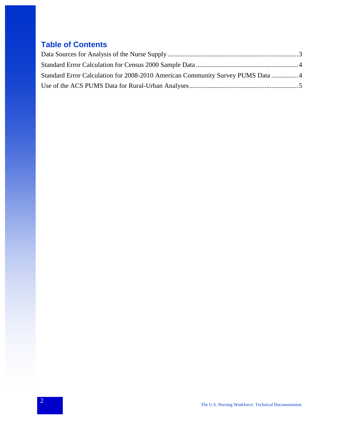## **Table of Contents**

| Standard Error Calculation for 2008-2010 American Community Survey PUMS Data  4 |  |
|---------------------------------------------------------------------------------|--|
|                                                                                 |  |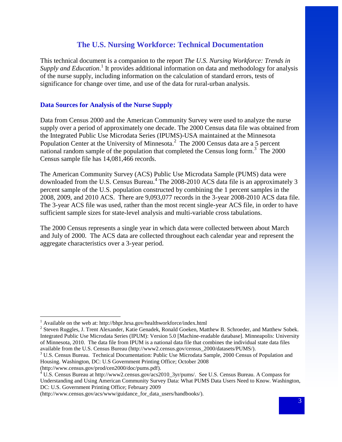### **The U.S. Nursing Workforce: Technical Documentation**

<span id="page-2-0"></span>This technical document is a companion to the report *The U.S. Nursing Workforce: Trends in*  Supply and Education.<sup>1</sup> It provides additional information on data and methodology for analysis of the nurse supply, including information on the calculation of standard errors, tests of significance for change over time, and use of the data for rural-urban analysis.

#### **Data Sources for Analysis of the Nurse Supply**

Data from Census 2000 and the American Community Survey were used to analyze the nurse supply over a period of approximately one decade. The 2000 Census data file was obtained from the Integrated Public Use Microdata Series (IPUMS)-USA maintained at the Minnesota Population Center at the University of Minnesota. $2$  The 2000 Census data are a 5 percent national random sample of the population that completed the Census long form.<sup>3</sup> The 2000 Census sample file has 14,081,466 records.

The American Community Survey (ACS) Public Use Microdata Sample (PUMS) data were downloaded from the U.S. Census Bureau.<sup>4</sup> The 2008-2010 ACS data file is an approximately 3 percent sample of the U.S. population constructed by combining the 1 percent samples in the 2008, 2009, and 2010 ACS. There are 9,093,077 records in the 3-year 2008-2010 ACS data file. The 3-year ACS file was used, rather than the most recent single-year ACS file, in order to have sufficient sample sizes for state-level analysis and multi-variable cross tabulations.

<span id="page-2-1"></span>The 2000 Census represents a single year in which data were collected between about March and July of 2000. The ACS data are collected throughout each calendar year and represent the aggregate characteristics over a 3-year period.

 $\overline{a}$ 

 $1$  Available on the web at: http://bhpr.hrsa.gov/healthworkforce/index.html

<sup>&</sup>lt;sup>2</sup> Steven Ruggles, J. Trent Alexander, Katie Genadek, Ronald Goeken, Matthew B. Schroeder, and Matthew Sobek. Integrated Public Use Microdata Series (IPUM): Version 5.0 [Machine-readable database]. Minneapolis: University of Minnesota, 2010. The data file from IPUM is a national data file that combines the individual state data files available from the U.S. Census Bureau (http://www2.census.gov/census\_2000/datasets/PUMS/).

<sup>&</sup>lt;sup>3</sup> U.S. Census Bureau. Technical Documentation: Public Use Microdata Sample, 2000 Census of Population and Housing. Washington, DC: U.S Government Printing Office; October 2008

<sup>(</sup>http://www.census.gov/prod/cen2000/doc/pums.pdf).

 $4 \text{ U.S.}$  Census Bureau at http://www2.census.gov/acs2010\_3yr/pums/. See U.S. Census Bureau. A Compass for Understanding and Using American Community Survey Data: What PUMS Data Users Need to Know. Washington, DC: U.S. Government Printing Office; February 2009

<sup>(</sup>http://www.census.gov/acs/www/guidance\_for\_data\_users/handbooks/).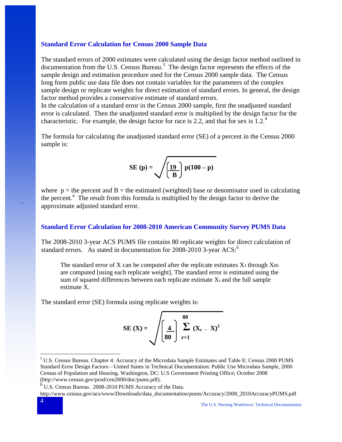#### **Standard Error Calculation for Census 2000 Sample Data**

The standard errors of 2000 estimates were calculated using the design factor method outlined in documentation from the U.S. Census Bureau.<sup>5</sup> The design factor represents the effects of the sample design and estimation procedure used for the Census 2000 sample data. The Census long form public use data file does not contain variables for the parameters of the complex sample design or replicate weights for direct estimation of standard errors. In general, the design factor method provides a conservative estimate of standard errors.

In the calculation of a standard error in the Census 2000 sample, first the unadjusted standard error is calculated. Then the unadjusted standard error is multiplied by the design factor for the characteristic. For example, the design factor for race is 2.2, and that for sex is 1.2.<sup>4</sup>

The formula for calculating the unadjusted standard error (SE) of a percent in the Census 2000 sample is:

SE (p) = 
$$
\sqrt{\frac{19}{B} p(100 - p)}
$$

where  $p =$  the percent and B = the estimated (weighted) base or denominator used in calculating the percent.<sup>4</sup> The result from this formula is multiplied by the design factor to derive the approximate adjusted standard error.

#### <span id="page-3-0"></span>**Standard Error Calculation for 2008-2010 American Community Survey PUMS Data**

The 2008-2010 3-year ACS PUMS file contains 80 replicate weights for direct calculation of standard errors. As stated in documentation for 2008-2010 3-year  $ACS$ :

The standard error of X can be computed after the replicate estimates  $X_1$  through  $X_{80}$ are computed [using each replicate weight]. The standard error is estimated using the sum of squared differences between each replicate estimate Xr and the full sample estimate X.

The standard error (SE) formula using replicate weights is:

$$
SE(X) = \sqrt{\left(\frac{4}{80}\right)^{80} \sum_{r=1}^{80} (X_r - X)^2}
$$

 $\overline{a}$ 

ˆ

<sup>5</sup> U.S. Census Bureau. Chapter 4: Accuracy of the Microdata Sample Estimates and Table E: Census 2000 PUMS Standard Error Design Factors—United States in Technical Documentation: Public Use Microdata Sample, 2000 Census of Population and Housing. Washington, DC: U.S Government Printing Office; October 2008 (http://www.census.gov/prod/cen2000/doc/pums.pdf).

<sup>6</sup> U.S. Census Bureau. 2008-2010 PUMS Accuracy of the Data.

http://www.census.gov/acs/www/Downloads/data\_documentation/pums/Accuracy/2008\_2010AccuracyPUMS.pdf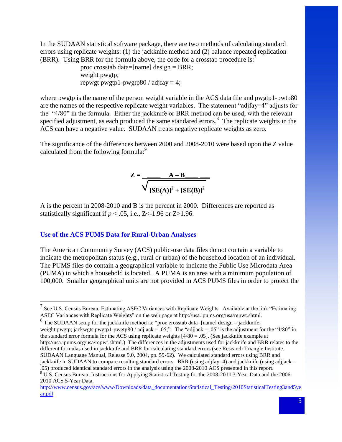In the SUDAAN statistical software package, there are two methods of calculating standard errors using replicate weights: (1) the jackknife method and (2) balance repeated replication (BRR). Using BRR for the formula above, the code for a crosstab procedure is:<sup>7</sup>

> proc crosstab data=[name] design = BRR; weight pwgtp; repwgt pwgtp1-pwgtp80 / adjfay  $= 4$ ;

where pwgtp is the name of the person weight variable in the ACS data file and pwgtp1-pwtp80 are the names of the respective replicate weight variables. The statement "adjfay=4" adjusts for the "4/80" in the formula. Either the jackknife or BRR method can be used, with the relevant specified adjustment, as each produced the same standared errors. $8\text{ }$  The replicate weights in the ACS can have a negative value. SUDAAN treats negative replicate weights as zero.

The significance of the differences between 2000 and 2008-2010 were based upon the Z value calculated from the following formula:<sup>9</sup>

$$
Z = \frac{A - B}{\sqrt{\left[SE(A)\right]^2 + \left[SE(B)\right]^2}}
$$

A is the percent in 2008-2010 and B is the percent in 2000. Differences are reported as statistically significant if  $p < .05$ , i.e., Z<-1.96 or Z>1.96.

#### <span id="page-4-0"></span>**Use of the ACS PUMS Data for Rural-Urban Analyses**

 $\overline{a}$ 

The American Community Survey (ACS) public-use data files do not contain a variable to indicate the metropolitan status (e.g., rural or urban) of the household location of an individual. The PUMS files do contain a geographical variable to indicate the Public Use Microdata Area (PUMA) in which a household is located. A PUMA is an area with a minimum population of 100,000. Smaller geographical units are not provided in ACS PUMS files in order to protect the

<sup>&</sup>lt;sup>7</sup> See U.S. Census Bureau. Estimating ASEC Variances with Replicate Weights. Available at the link "Estimating" ASEC Variances with Replicate Weights" on the web page at http://usa.ipums.org/usa/repwt.shtml.

<sup>&</sup>lt;sup>8</sup> The SUDAAN setup for the jackknife method is: "proc crosstab data=[name] design = jackknife; weight pwgtp; jackwgts pwgtp1-pwgtp80 / adjiack = .05;". The "adjiack = .05" is the adjustment for the "4/80" in the standard error formula for the ACS using replicate weights [4/80 = .05]. (See jackknife example at [http://usa.ipums.org/usa/repwt.shtml.\)](http://usa.ipums.org/usa/repwt.shtml) The differences in the adjustments used for jackknife and BRR relates to the different formulas used in jackknife and BRR for calculating standard errors (see Research Triangle Institute. SUDAAN Language Manual, Release 9.0, 2004, pp. 59-62). We calculated standard errors using BRR and jackknife in SUDAAN to compare resulting standard errors. BRR (using adjfay=4) and jackknife (using adjjack = .05) produced identical standard errors in the analysis using the 2008-2010 ACS presented in this report.

<sup>9</sup> U.S. Census Bureau. Instructions for Applying Statistical Testing for the 2008-2010 3-Year Data and the 2006- 2010 ACS 5-Year Data.

[http://www.census.gov/acs/www/Downloads/data\\_documentation/Statistical\\_Testing/2010StatisticalTesting3and5ye](http://www.census.gov/acs/www/Downloads/data_documentation/Statistical_Testing/2010StatisticalTesting3and5year.pdf) [ar.pdf](http://www.census.gov/acs/www/Downloads/data_documentation/Statistical_Testing/2010StatisticalTesting3and5year.pdf)